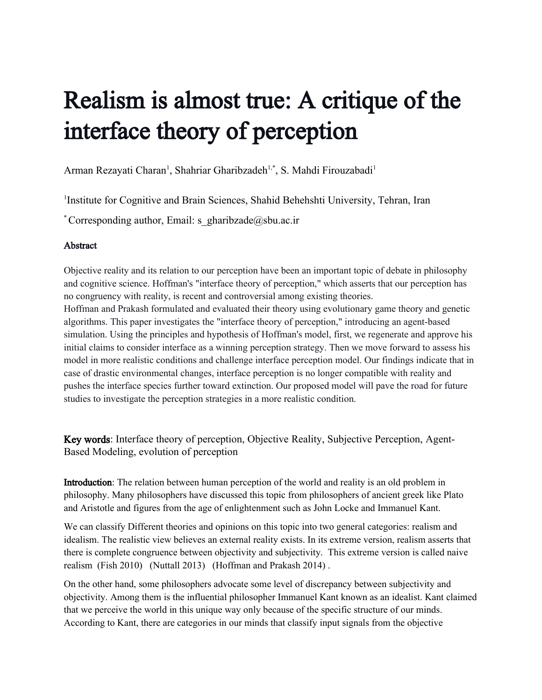# Realism is almost true: A critique of the interface theory of perception

Arman Rezayati Charan<sup>1</sup>, Shahriar Gharibzadeh<sup>1,\*</sup>, S. Mahdi Firouzabadi<sup>1</sup>

<sup>1</sup>Institute for Cognitive and Brain Sciences, Shahid Behehshti University, Tehran, Iran

\* Corresponding author, Email: s\_gharibzade $@$ sbu.ac.ir

#### Abstract

Objective reality and its relation to our perception have been an important topic of debate in philosophy and cognitive science. Hoffman's "interface theory of perception," which asserts that our perception has no congruency with reality, is recent and controversial among existing theories. Hoffman and Prakash formulated and evaluated their theory using evolutionary game theory and genetic algorithms. This paper investigates the "interface theory of perception," introducing an agent-based simulation. Using the principles and hypothesis of Hoffman's model, first, we regenerate and approve his initial claims to consider interface as a winning perception strategy. Then we move forward to assess his model in more realistic conditions and challenge interface perception model. Our findings indicate that in case of drastic environmental changes, interface perception is no longer compatible with reality and pushes the interface species further toward extinction. Our proposed model will pave the road for future studies to investigate the perception strategies in a more realistic condition.

Key words: Interface theory of perception, Objective Reality, Subjective Perception, Agent-Based Modeling, evolution of perception

Introduction: The relation between human perception of the world and reality is an old problem in philosophy. Many philosophers have discussed this topic from philosophers of ancient greek like Plato and Aristotle and figures from the age of enlightenment such as John Locke and Immanuel Kant.

We can classify Different theories and opinions on this topic into two general categories: realism and idealism. The realistic view believes an external reality exists. In its extreme version, realism asserts that there is complete congruence between objectivity and subjectivity. This extreme version is called naive realism (Fish 2010) (Nuttall 2013) (Hoffman and Prakash 2014) .

On the other hand, some philosophers advocate some level of discrepancy between subjectivity and objectivity. Among them is the influential philosopher Immanuel Kant known as an idealist. Kant claimed that we perceive the world in this unique way only because of the specific structure of our minds. According to Kant, there are categories in our minds that classify input signals from the objective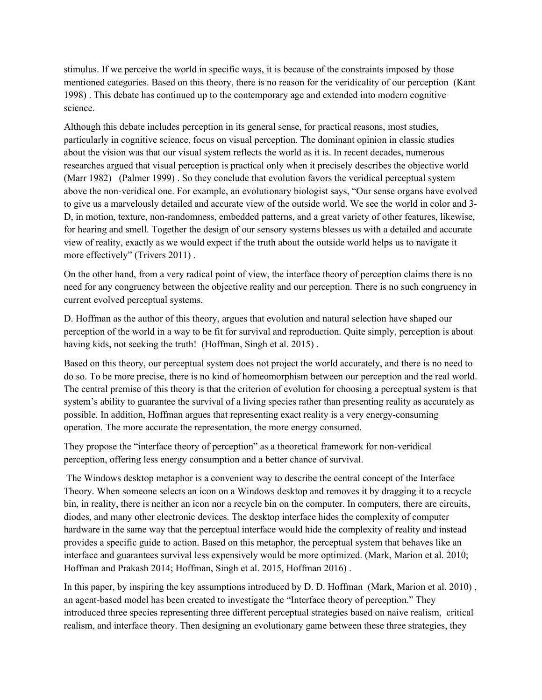stimulus. If we perceive the world in specific ways, it is because of the constraints imposed by those mentioned categories. Based on this theory, there is no reason for the veridicality of our perception (Kant 1998) . This debate has continued up to the contemporary age and extended into modern cognitive science.

Although this debate includes perception in its general sense, for practical reasons, most studies, particularly in cognitive science, focus on visual perception. The dominant opinion in classic studies about the vision was that our visual system reflects the world as it is. In recent decades, numerous researches argued that visual perception is practical only when it precisely describes the objective world (Marr 1982) (Palmer 1999) . So they conclude that evolution favors the veridical perceptual system above the non-veridical one. For example, an evolutionary biologist says, "Our sense organs have evolved to give us a marvelously detailed and accurate view of the outside world. We see the world in color and 3- D, in motion, texture, non-randomness, embedded patterns, and a great variety of other features, likewise, for hearing and smell. Together the design of our sensory systems blesses us with a detailed and accurate view of reality, exactly as we would expect if the truth about the outside world helps us to navigate it more effectively" (Trivers 2011) .

On the other hand, from a very radical point of view, the interface theory of perception claims there is no need for any congruency between the objective reality and our perception. There is no such congruency in current evolved perceptual systems.

D. Hoffman as the author of this theory, argues that evolution and natural selection have shaped our perception of the world in a way to be fit for survival and reproduction. Quite simply, perception is about having kids, not seeking the truth! (Hoffman, Singh et al. 2015).

Based on this theory, our perceptual system does not project the world accurately, and there is no need to do so. To be more precise, there is no kind of homeomorphism between our perception and the real world. The central premise of this theory is that the criterion of evolution for choosing a perceptual system is that system's ability to guarantee the survival of a living species rather than presenting reality as accurately as possible. In addition, Hoffman argues that representing exact reality is a very energy-consuming operation. The more accurate the representation, the more energy consumed.

They propose the "interface theory of perception" as a theoretical framework for non-veridical perception, offering less energy consumption and a better chance of survival.

 The Windows desktop metaphor is a convenient way to describe the central concept of the Interface Theory. When someone selects an icon on a Windows desktop and removes it by dragging it to a recycle bin, in reality, there is neither an icon nor a recycle bin on the computer. In computers, there are circuits, diodes, and many other electronic devices. The desktop interface hides the complexity of computer hardware in the same way that the perceptual interface would hide the complexity of reality and instead provides a specific guide to action. Based on this metaphor, the perceptual system that behaves like an interface and guarantees survival less expensively would be more optimized. (Mark, Marion et al. 2010; Hoffman and Prakash 2014; Hoffman, Singh et al. 2015, Hoffman 2016) .

In this paper, by inspiring the key assumptions introduced by D. D. Hoffman (Mark, Marion et al. 2010) , an agent-based model has been created to investigate the "Interface theory of perception." They introduced three species representing three different perceptual strategies based on naive realism, critical realism, and interface theory. Then designing an evolutionary game between these three strategies, they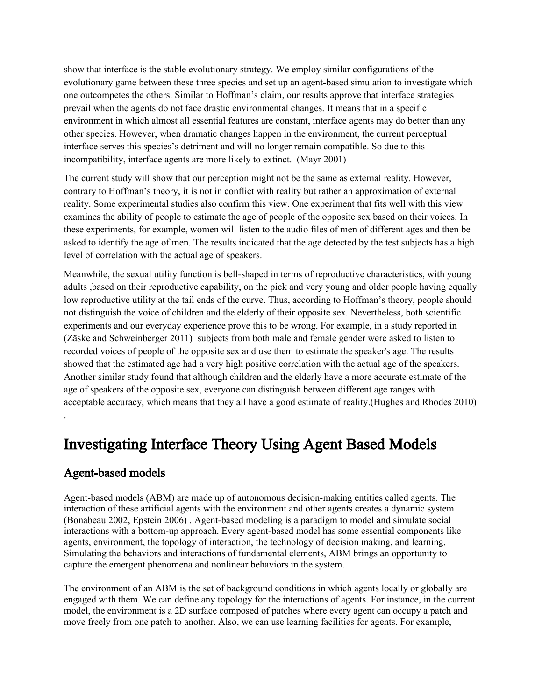show that interface is the stable evolutionary strategy. We employ similar configurations of the evolutionary game between these three species and set up an agent-based simulation to investigate which one outcompetes the others. Similar to Hoffman's claim, our results approve that interface strategies prevail when the agents do not face drastic environmental changes. It means that in a specific environment in which almost all essential features are constant, interface agents may do better than any other species. However, when dramatic changes happen in the environment, the current perceptual interface serves this species's detriment and will no longer remain compatible. So due to this incompatibility, interface agents are more likely to extinct. (Mayr 2001)

The current study will show that our perception might not be the same as external reality. However, contrary to Hoffman's theory, it is not in conflict with reality but rather an approximation of external reality. Some experimental studies also confirm this view. One experiment that fits well with this view examines the ability of people to estimate the age of people of the opposite sex based on their voices. In these experiments, for example, women will listen to the audio files of men of different ages and then be asked to identify the age of men. The results indicated that the age detected by the test subjects has a high level of correlation with the actual age of speakers.

Meanwhile, the sexual utility function is bell-shaped in terms of reproductive characteristics, with young adults ,based on their reproductive capability, on the pick and very young and older people having equally low reproductive utility at the tail ends of the curve. Thus, according to Hoffman's theory, people should not distinguish the voice of children and the elderly of their opposite sex. Nevertheless, both scientific experiments and our everyday experience prove this to be wrong. For example, in a study reported in (Zäske and Schweinberger 2011) subjects from both male and female gender were asked to listen to recorded voices of people of the opposite sex and use them to estimate the speaker's age. The results showed that the estimated age had a very high positive correlation with the actual age of the speakers. Another similar study found that although children and the elderly have a more accurate estimate of the age of speakers of the opposite sex, everyone can distinguish between different age ranges with acceptable accuracy, which means that they all have a good estimate of reality.(Hughes and Rhodes 2010)

# Investigating Interface Theory Using Agent Based Models

## Agent-based models

.

Agent-based models (ABM) are made up of autonomous decision-making entities called agents. The interaction of these artificial agents with the environment and other agents creates a dynamic system (Bonabeau 2002, Epstein 2006) . Agent-based modeling is a paradigm to model and simulate social interactions with a bottom-up approach. Every agent-based model has some essential components like agents, environment, the topology of interaction, the technology of decision making, and learning. Simulating the behaviors and interactions of fundamental elements, ABM brings an opportunity to capture the emergent phenomena and nonlinear behaviors in the system.

The environment of an ABM is the set of background conditions in which agents locally or globally are engaged with them. We can define any topology for the interactions of agents. For instance, in the current model, the environment is a 2D surface composed of patches where every agent can occupy a patch and move freely from one patch to another. Also, we can use learning facilities for agents. For example,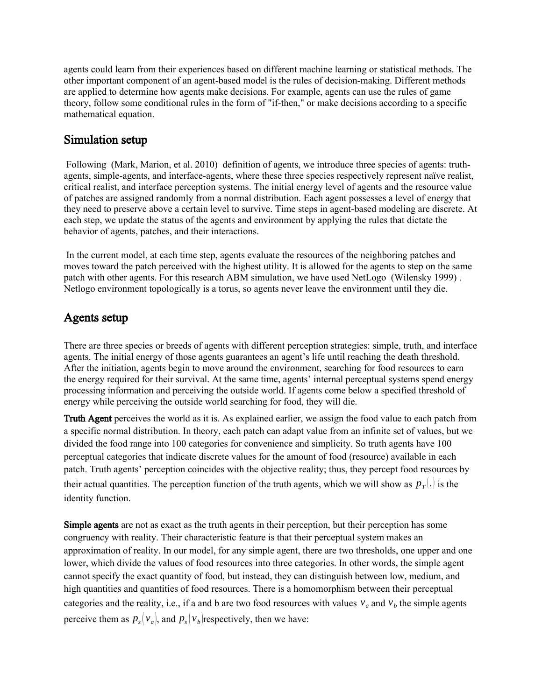agents could learn from their experiences based on different machine learning or statistical methods. The other important component of an agent-based model is the rules of decision-making. Different methods are applied to determine how agents make decisions. For example, agents can use the rules of game theory, follow some conditional rules in the form of "if-then," or make decisions according to a specific mathematical equation.

### Simulation setup

 Following (Mark, Marion, et al. 2010) definition of agents, we introduce three species of agents: truthagents, simple-agents, and interface-agents, where these three species respectively represent naïve realist, critical realist, and interface perception systems. The initial energy level of agents and the resource value of patches are assigned randomly from a normal distribution. Each agent possesses a level of energy that they need to preserve above a certain level to survive. Time steps in agent-based modeling are discrete. At each step, we update the status of the agents and environment by applying the rules that dictate the behavior of agents, patches, and their interactions.

 In the current model, at each time step, agents evaluate the resources of the neighboring patches and moves toward the patch perceived with the highest utility. It is allowed for the agents to step on the same patch with other agents. For this research ABM simulation, we have used NetLogo (Wilensky 1999) . Netlogo environment topologically is a torus, so agents never leave the environment until they die.

## Agents setup

There are three species or breeds of agents with different perception strategies: simple, truth, and interface agents. The initial energy of those agents guarantees an agent's life until reaching the death threshold. After the initiation, agents begin to move around the environment, searching for food resources to earn the energy required for their survival. At the same time, agents' internal perceptual systems spend energy processing information and perceiving the outside world. If agents come below a specified threshold of energy while perceiving the outside world searching for food, they will die.

Truth Agent perceives the world as it is. As explained earlier, we assign the food value to each patch from a specific normal distribution. In theory, each patch can adapt value from an infinite set of values, but we divided the food range into 100 categories for convenience and simplicity. So truth agents have 100 perceptual categories that indicate discrete values for the amount of food (resource) available in each patch. Truth agents' perception coincides with the objective reality; thus, they percept food resources by their actual quantities. The perception function of the truth agents, which we will show as  $p_T(.)$  is the identity function.

Simple agents are not as exact as the truth agents in their perception, but their perception has some congruency with reality. Their characteristic feature is that their perceptual system makes an approximation of reality. In our model, for any simple agent, there are two thresholds, one upper and one lower, which divide the values of food resources into three categories. In other words, the simple agent cannot specify the exact quantity of food, but instead, they can distinguish between low, medium, and high quantities and quantities of food resources. There is a homomorphism between their perceptual categories and the reality, i.e., if a and b are two food resources with values  $v_a$  and  $v_b$  the simple agents perceive them as  $p_s(v_a)$ , and  $p_s(v_b)$  respectively, then we have: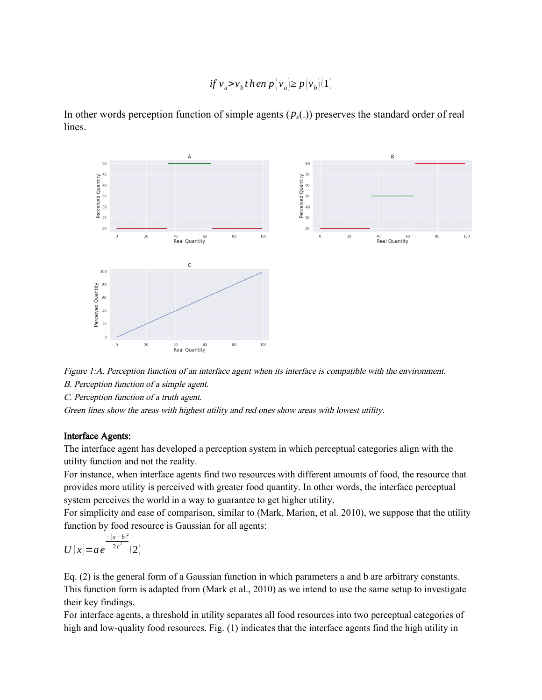if 
$$
v_a > v_b
$$
 then  $p(v_a) \ge p(v_b)(1)$ 

In other words perception function of simple agents (*ps*(.)) preserves the standard order of real lines.





C. Perception function of a truth agent.

Green lines show the areas with highest utility and red ones show areas with lowest utility.

#### Interface Agents:

The interface agent has developed a perception system in which perceptual categories align with the utility function and not the reality.

For instance, when interface agents find two resources with different amounts of food, the resource that provides more utility is perceived with greater food quantity. In other words, the interface perceptual system perceives the world in a way to guarantee to get higher utility.

For simplicity and ease of comparison, similar to (Mark, Marion, et al. 2010), we suppose that the utility function by food resource is Gaussian for all agents:

$$
U(x)=ae^{\frac{-(x-b)^2}{2c^2}}(2)
$$

Eq. (2) is the general form of a Gaussian function in which parameters a and b are arbitrary constants. This function form is adapted from (Mark et al., 2010) as we intend to use the same setup to investigate their key findings.

For interface agents, a threshold in utility separates all food resources into two perceptual categories of high and low-quality food resources. Fig. (1) indicates that the interface agents find the high utility in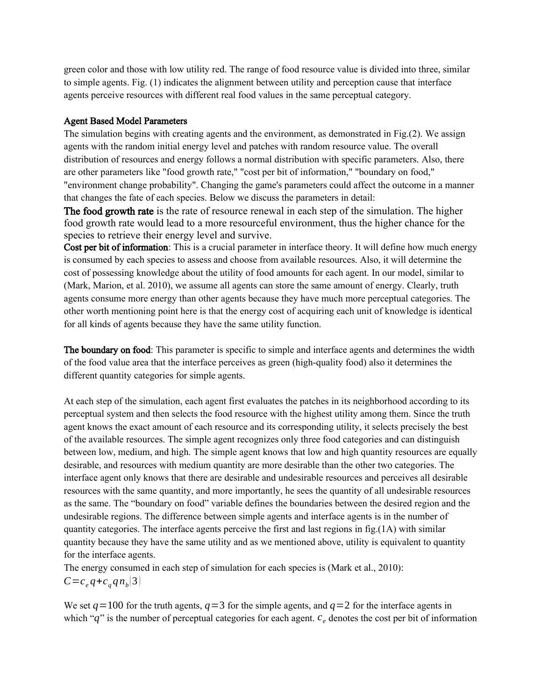green color and those with low utility red. The range of food resource value is divided into three, similar to simple agents. Fig. (1) indicates the alignment between utility and perception cause that interface agents perceive resources with different real food values in the same perceptual category.

#### Agent Based Model Parameters

The simulation begins with creating agents and the environment, as demonstrated in Fig.(2). We assign agents with the random initial energy level and patches with random resource value. The overall distribution of resources and energy follows a normal distribution with specific parameters. Also, there are other parameters like "food growth rate," "cost per bit of information," "boundary on food," "environment change probability". Changing the game's parameters could affect the outcome in a manner that changes the fate of each species. Below we discuss the parameters in detail:

The food growth rate is the rate of resource renewal in each step of the simulation. The higher food growth rate would lead to a more resourceful environment, thus the higher chance for the species to retrieve their energy level and survive.

Cost per bit of information: This is a crucial parameter in interface theory. It will define how much energy is consumed by each species to assess and choose from available resources. Also, it will determine the cost of possessing knowledge about the utility of food amounts for each agent. In our model, similar to (Mark, Marion, et al. 2010), we assume all agents can store the same amount of energy. Clearly, truth agents consume more energy than other agents because they have much more perceptual categories. The other worth mentioning point here is that the energy cost of acquiring each unit of knowledge is identical for all kinds of agents because they have the same utility function.

The boundary on food: This parameter is specific to simple and interface agents and determines the width of the food value area that the interface perceives as green (high-quality food) also it determines the different quantity categories for simple agents.

At each step of the simulation, each agent first evaluates the patches in its neighborhood according to its perceptual system and then selects the food resource with the highest utility among them. Since the truth agent knows the exact amount of each resource and its corresponding utility, it selects precisely the best of the available resources. The simple agent recognizes only three food categories and can distinguish between low, medium, and high. The simple agent knows that low and high quantity resources are equally desirable, and resources with medium quantity are more desirable than the other two categories. The interface agent only knows that there are desirable and undesirable resources and perceives all desirable resources with the same quantity, and more importantly, he sees the quantity of all undesirable resources as the same. The "boundary on food" variable defines the boundaries between the desired region and the undesirable regions. The difference between simple agents and interface agents is in the number of quantity categories. The interface agents perceive the first and last regions in  $fig.(1A)$  with similar quantity because they have the same utility and as we mentioned above, utility is equivalent to quantity for the interface agents.

The energy consumed in each step of simulation for each species is (Mark et al., 2010):  $C = c_e q + c_q q n_b(3)$ 

We set  $q = 100$  for the truth agents,  $q = 3$  for the simple agents, and  $q = 2$  for the interface agents in which " $q$ " is the number of perceptual categories for each agent.  $c_e$  denotes the cost per bit of information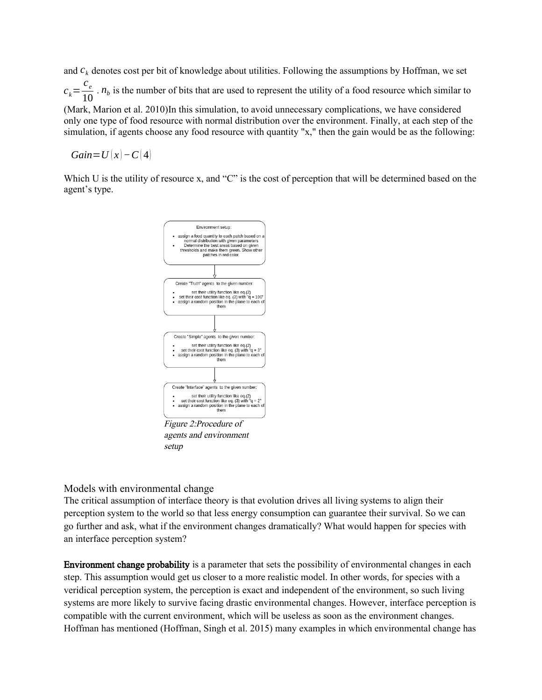and  $c<sub>k</sub>$  denotes cost per bit of knowledge about utilities. Following the assumptions by Hoffman, we set  $c_k =$ *ce*  $\frac{e_e}{10}$ . *n<sub>b</sub>* is the number of bits that are used to represent the utility of a food resource which similar to (Mark, Marion et al. 2010)In this simulation, to avoid unnecessary complications, we have considered only one type of food resource with normal distribution over the environment. Finally, at each step of the simulation, if agents choose any food resource with quantity "x," then the gain would be as the following:

*Gain*= $U(x) - C(4)$ 

Which U is the utility of resource x, and "C" is the cost of perception that will be determined based on the agent's type.



Models with environmental change

The critical assumption of interface theory is that evolution drives all living systems to align their perception system to the world so that less energy consumption can guarantee their survival. So we can go further and ask, what if the environment changes dramatically? What would happen for species with an interface perception system?

Environment change probability is a parameter that sets the possibility of environmental changes in each step. This assumption would get us closer to a more realistic model. In other words, for species with a veridical perception system, the perception is exact and independent of the environment, so such living systems are more likely to survive facing drastic environmental changes. However, interface perception is compatible with the current environment, which will be useless as soon as the environment changes. Hoffman has mentioned (Hoffman, Singh et al. 2015) many examples in which environmental change has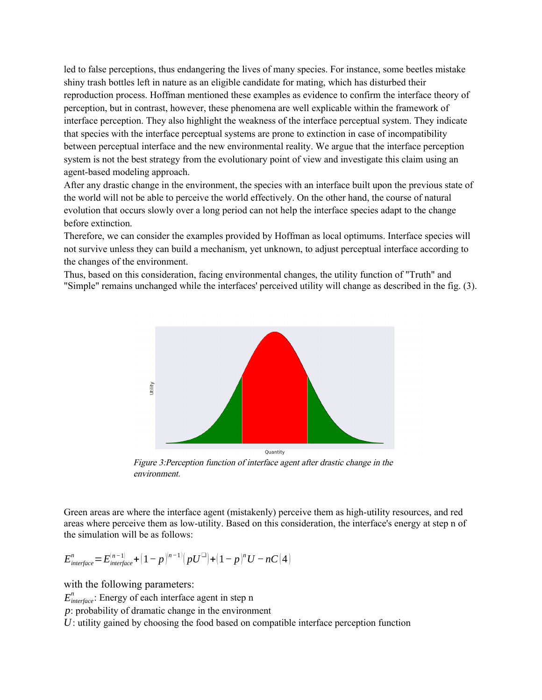led to false perceptions, thus endangering the lives of many species. For instance, some beetles mistake shiny trash bottles left in nature as an eligible candidate for mating, which has disturbed their reproduction process. Hoffman mentioned these examples as evidence to confirm the interface theory of perception, but in contrast, however, these phenomena are well explicable within the framework of interface perception. They also highlight the weakness of the interface perceptual system. They indicate that species with the interface perceptual systems are prone to extinction in case of incompatibility between perceptual interface and the new environmental reality. We argue that the interface perception system is not the best strategy from the evolutionary point of view and investigate this claim using an agent-based modeling approach.

After any drastic change in the environment, the species with an interface built upon the previous state of the world will not be able to perceive the world effectively. On the other hand, the course of natural evolution that occurs slowly over a long period can not help the interface species adapt to the change before extinction.

Therefore, we can consider the examples provided by Hoffman as local optimums. Interface species will not survive unless they can build a mechanism, yet unknown, to adjust perceptual interface according to the changes of the environment.

Thus, based on this consideration, facing environmental changes, the utility function of "Truth" and "Simple" remains unchanged while the interfaces' perceived utility will change as described in the fig. (3).



Figure 3:Perception function of interface agent after drastic change in the environment.

Green areas are where the interface agent (mistakenly) perceive them as high-utility resources, and red areas where perceive them as low-utility. Based on this consideration, the interface's energy at step n of the simulation will be as follows:

$$
E_{\text{interface}}^n = E_{\text{interface}}^{(n-1)} + (1-p)^{(n-1)}(pU^{\Box}) + (1-p)^n U - nC(4)
$$

with the following parameters:

 $E_{\text{interface}}^n$ : Energy of each interface agent in step n

*p*: probability of dramatic change in the environment

*U*: utility gained by choosing the food based on compatible interface perception function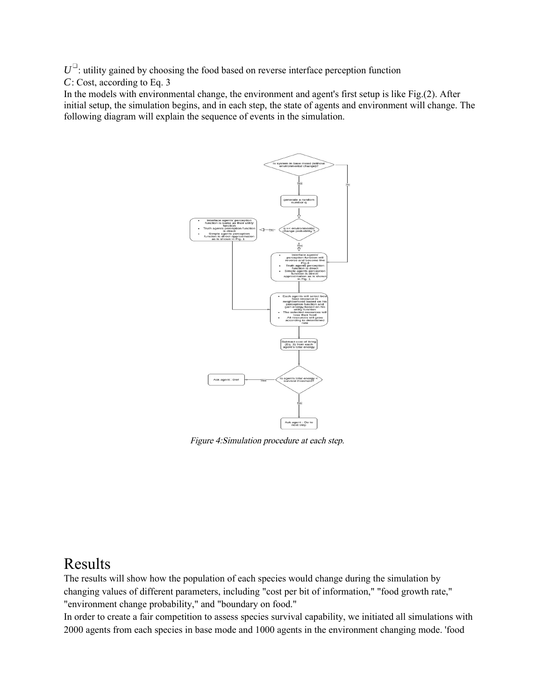$U^{\Box}$ : utility gained by choosing the food based on reverse interface perception function

*C*: Cost, according to Eq. 3

In the models with environmental change, the environment and agent's first setup is like Fig.(2). After initial setup, the simulation begins, and in each step, the state of agents and environment will change. The following diagram will explain the sequence of events in the simulation.



Figure 4:Simulation procedure at each step.

## Results

The results will show how the population of each species would change during the simulation by changing values of different parameters, including "cost per bit of information," "food growth rate," "environment change probability," and "boundary on food."

In order to create a fair competition to assess species survival capability, we initiated all simulations with 2000 agents from each species in base mode and 1000 agents in the environment changing mode. 'food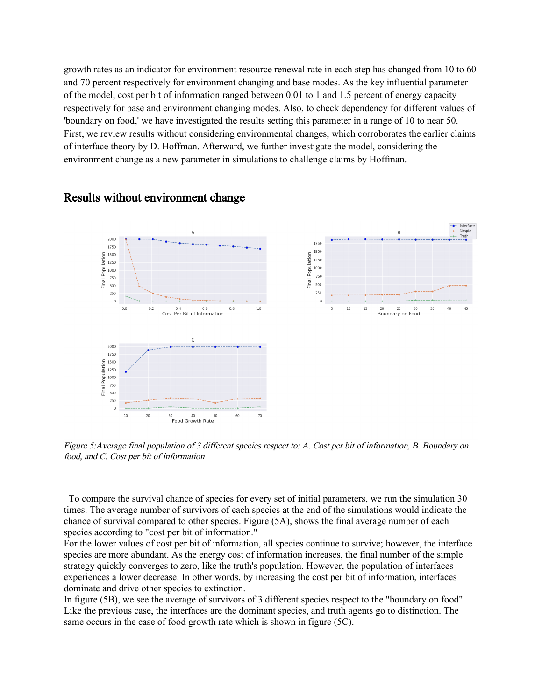growth rates as an indicator for environment resource renewal rate in each step has changed from 10 to 60 and 70 percent respectively for environment changing and base modes. As the key influential parameter of the model, cost per bit of information ranged between 0.01 to 1 and 1.5 percent of energy capacity respectively for base and environment changing modes. Also, to check dependency for different values of 'boundary on food,' we have investigated the results setting this parameter in a range of 10 to near 50. First, we review results without considering environmental changes, which corroborates the earlier claims of interface theory by D. Hoffman. Afterward, we further investigate the model, considering the environment change as a new parameter in simulations to challenge claims by Hoffman.



#### Results without environment change

Figure 5:Average final population of 3 different species respect to: A. Cost per bit of information, B. Boundary on food, and C. Cost per bit of information

 To compare the survival chance of species for every set of initial parameters, we run the simulation 30 times. The average number of survivors of each species at the end of the simulations would indicate the chance of survival compared to other species. Figure (5A), shows the final average number of each species according to "cost per bit of information."

For the lower values of cost per bit of information, all species continue to survive; however, the interface species are more abundant. As the energy cost of information increases, the final number of the simple strategy quickly converges to zero, like the truth's population. However, the population of interfaces experiences a lower decrease. In other words, by increasing the cost per bit of information, interfaces dominate and drive other species to extinction.

In figure (5B), we see the average of survivors of 3 different species respect to the "boundary on food". Like the previous case, the interfaces are the dominant species, and truth agents go to distinction. The same occurs in the case of food growth rate which is shown in figure (5C).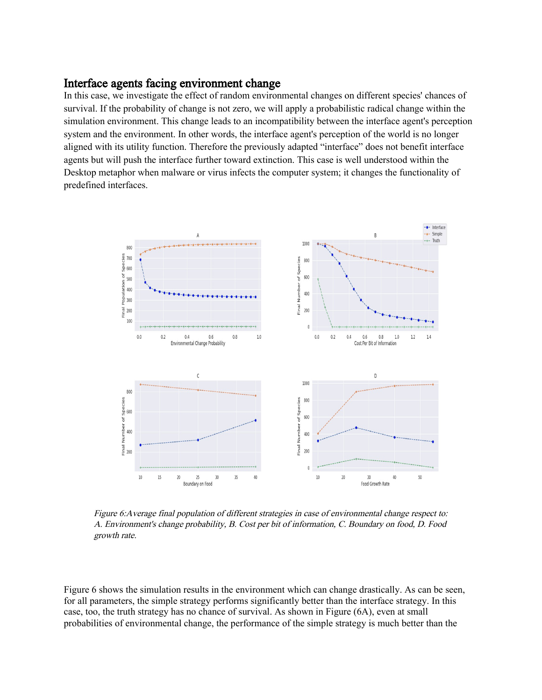#### Interface agents facing environment change

In this case, we investigate the effect of random environmental changes on different species' chances of survival. If the probability of change is not zero, we will apply a probabilistic radical change within the simulation environment. This change leads to an incompatibility between the interface agent's perception system and the environment. In other words, the interface agent's perception of the world is no longer aligned with its utility function. Therefore the previously adapted "interface" does not benefit interface agents but will push the interface further toward extinction. This case is well understood within the Desktop metaphor when malware or virus infects the computer system; it changes the functionality of predefined interfaces.



Figure 6:Average final population of different strategies in case of environmental change respect to: A. Environment's change probability, B. Cost per bit of information, C. Boundary on food, D. Food growth rate.

Figure 6 shows the simulation results in the environment which can change drastically. As can be seen, for all parameters, the simple strategy performs significantly better than the interface strategy. In this case, too, the truth strategy has no chance of survival. As shown in Figure (6A), even at small probabilities of environmental change, the performance of the simple strategy is much better than the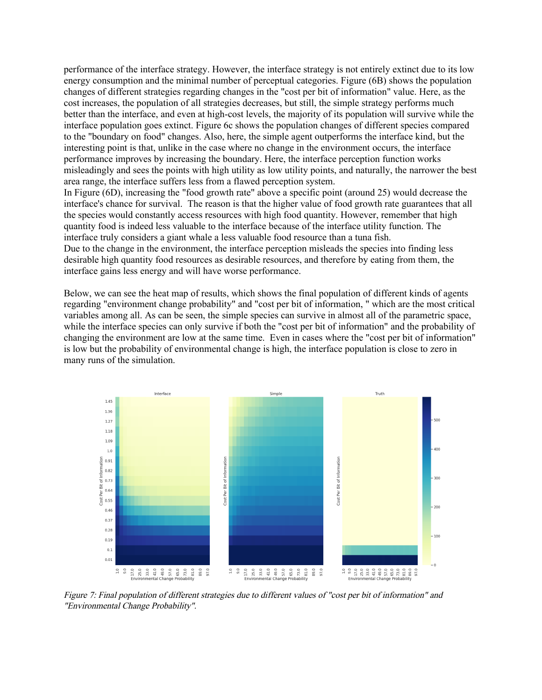performance of the interface strategy. However, the interface strategy is not entirely extinct due to its low energy consumption and the minimal number of perceptual categories. Figure (6B) shows the population changes of different strategies regarding changes in the "cost per bit of information" value. Here, as the cost increases, the population of all strategies decreases, but still, the simple strategy performs much better than the interface, and even at high-cost levels, the majority of its population will survive while the interface population goes extinct. Figure 6c shows the population changes of different species compared to the "boundary on food" changes. Also, here, the simple agent outperforms the interface kind, but the interesting point is that, unlike in the case where no change in the environment occurs, the interface performance improves by increasing the boundary. Here, the interface perception function works misleadingly and sees the points with high utility as low utility points, and naturally, the narrower the best area range, the interface suffers less from a flawed perception system.

In Figure (6D), increasing the "food growth rate" above a specific point (around 25) would decrease the interface's chance for survival. The reason is that the higher value of food growth rate guarantees that all the species would constantly access resources with high food quantity. However, remember that high quantity food is indeed less valuable to the interface because of the interface utility function. The interface truly considers a giant whale a less valuable food resource than a tuna fish.

Due to the change in the environment, the interface perception misleads the species into finding less desirable high quantity food resources as desirable resources, and therefore by eating from them, the interface gains less energy and will have worse performance.

Below, we can see the heat map of results, which shows the final population of different kinds of agents regarding "environment change probability" and "cost per bit of information, " which are the most critical variables among all. As can be seen, the simple species can survive in almost all of the parametric space, while the interface species can only survive if both the "cost per bit of information" and the probability of changing the environment are low at the same time. Even in cases where the "cost per bit of information" is low but the probability of environmental change is high, the interface population is close to zero in many runs of the simulation.



Figure 7: Final population of different strategies due to different values of "cost per bit of information" and "Environmental Change Probability".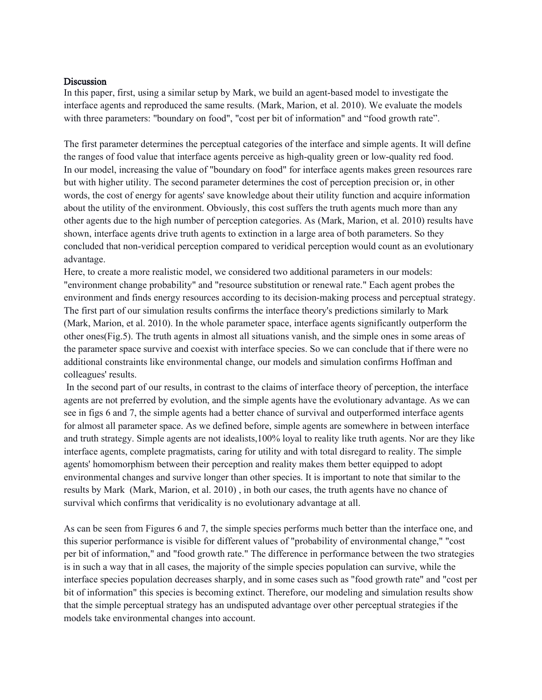#### **Discussion**

In this paper, first, using a similar setup by Mark, we build an agent-based model to investigate the interface agents and reproduced the same results. (Mark, Marion, et al. 2010). We evaluate the models with three parameters: "boundary on food", "cost per bit of information" and "food growth rate".

The first parameter determines the perceptual categories of the interface and simple agents. It will define the ranges of food value that interface agents perceive as high-quality green or low-quality red food. In our model, increasing the value of "boundary on food" for interface agents makes green resources rare but with higher utility. The second parameter determines the cost of perception precision or, in other words, the cost of energy for agents' save knowledge about their utility function and acquire information about the utility of the environment. Obviously, this cost suffers the truth agents much more than any other agents due to the high number of perception categories. As (Mark, Marion, et al. 2010) results have shown, interface agents drive truth agents to extinction in a large area of both parameters. So they concluded that non-veridical perception compared to veridical perception would count as an evolutionary advantage.

Here, to create a more realistic model, we considered two additional parameters in our models: "environment change probability" and "resource substitution or renewal rate." Each agent probes the environment and finds energy resources according to its decision-making process and perceptual strategy. The first part of our simulation results confirms the interface theory's predictions similarly to Mark (Mark, Marion, et al. 2010). In the whole parameter space, interface agents significantly outperform the other ones(Fig.5). The truth agents in almost all situations vanish, and the simple ones in some areas of the parameter space survive and coexist with interface species. So we can conclude that if there were no additional constraints like environmental change, our models and simulation confirms Hoffman and colleagues' results.

In the second part of our results, in contrast to the claims of interface theory of perception, the interface agents are not preferred by evolution, and the simple agents have the evolutionary advantage. As we can see in figs 6 and 7, the simple agents had a better chance of survival and outperformed interface agents for almost all parameter space. As we defined before, simple agents are somewhere in between interface and truth strategy. Simple agents are not idealists,100% loyal to reality like truth agents. Nor are they like interface agents, complete pragmatists, caring for utility and with total disregard to reality. The simple agents' homomorphism between their perception and reality makes them better equipped to adopt environmental changes and survive longer than other species. It is important to note that similar to the results by Mark (Mark, Marion, et al. 2010) , in both our cases, the truth agents have no chance of survival which confirms that veridicality is no evolutionary advantage at all.

As can be seen from Figures 6 and 7, the simple species performs much better than the interface one, and this superior performance is visible for different values of "probability of environmental change," "cost per bit of information," and "food growth rate." The difference in performance between the two strategies is in such a way that in all cases, the majority of the simple species population can survive, while the interface species population decreases sharply, and in some cases such as "food growth rate" and "cost per bit of information" this species is becoming extinct. Therefore, our modeling and simulation results show that the simple perceptual strategy has an undisputed advantage over other perceptual strategies if the models take environmental changes into account.